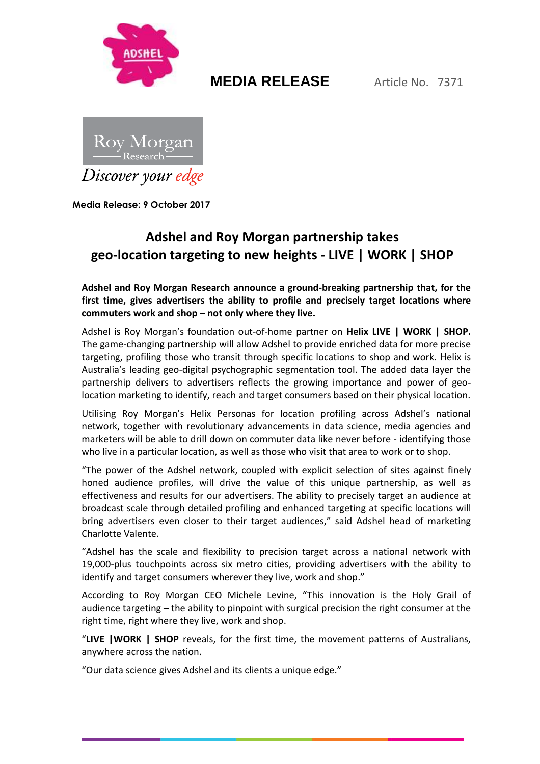

# **MEDIA RELEASE** Article No. 7371



**Media Release: 9 October 2017**

### **Adshel and Roy Morgan partnership takes geo-location targeting to new heights - LIVE | WORK | SHOP**

**Adshel and Roy Morgan Research announce a ground-breaking partnership that, for the first time, gives advertisers the ability to profile and precisely target locations where commuters work and shop – not only where they live.**

Adshel is Roy Morgan's foundation out-of-home partner on **Helix LIVE | WORK | SHOP.**  The game-changing partnership will allow Adshel to provide enriched data for more precise targeting, profiling those who transit through specific locations to shop and work. Helix is Australia's leading geo-digital psychographic segmentation tool. The added data layer the partnership delivers to advertisers reflects the growing importance and power of geolocation marketing to identify, reach and target consumers based on their physical location.

Utilising Roy Morgan's Helix Personas for location profiling across Adshel's national network, together with revolutionary advancements in data science, media agencies and marketers will be able to drill down on commuter data like never before - identifying those who live in a particular location, as well as those who visit that area to work or to shop.

"The power of the Adshel network, coupled with explicit selection of sites against finely honed audience profiles, will drive the value of this unique partnership, as well as effectiveness and results for our advertisers. The ability to precisely target an audience at broadcast scale through detailed profiling and enhanced targeting at specific locations will bring advertisers even closer to their target audiences," said Adshel head of marketing Charlotte Valente.

"Adshel has the scale and flexibility to precision target across a national network with 19,000-plus touchpoints across six metro cities, providing advertisers with the ability to identify and target consumers wherever they live, work and shop."

According to Roy Morgan CEO Michele Levine, "This innovation is the Holy Grail of audience targeting – the ability to pinpoint with surgical precision the right consumer at the right time, right where they live, work and shop.

"**LIVE |WORK | SHOP** reveals, for the first time, the movement patterns of Australians, anywhere across the nation.

"Our data science gives Adshel and its clients a unique edge."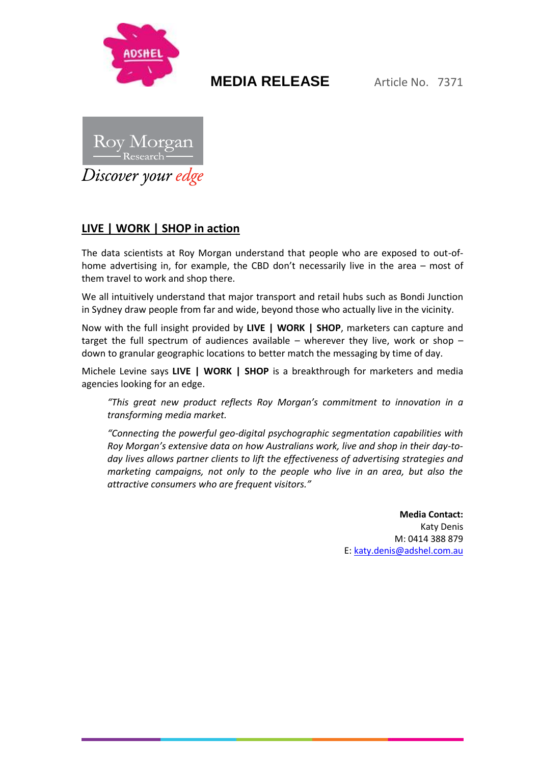

## **MEDIA RELEASE** Article No. 7371



### **LIVE | WORK | SHOP in action**

The data scientists at Roy Morgan understand that people who are exposed to out-ofhome advertising in, for example, the CBD don't necessarily live in the area – most of them travel to work and shop there.

We all intuitively understand that major transport and retail hubs such as Bondi Junction in Sydney draw people from far and wide, beyond those who actually live in the vicinity.

Now with the full insight provided by **LIVE | WORK | SHOP**, marketers can capture and target the full spectrum of audiences available – wherever they live, work or shop – down to granular geographic locations to better match the messaging by time of day.

Michele Levine says **LIVE | WORK | SHOP** is a breakthrough for marketers and media agencies looking for an edge.

*"This great new product reflects Roy Morgan's commitment to innovation in a transforming media market.*

*"Connecting the powerful geo-digital psychographic segmentation capabilities with Roy Morgan's extensive data on how Australians work, live and shop in their day-today lives allows partner clients to lift the effectiveness of advertising strategies and marketing campaigns, not only to the people who live in an area, but also the attractive consumers who are frequent visitors."*

> **Media Contact:** Katy Denis M: 0414 388 879 E: [katy.denis@adshel.com.au](mailto:katy.denis@adshel.com.au)